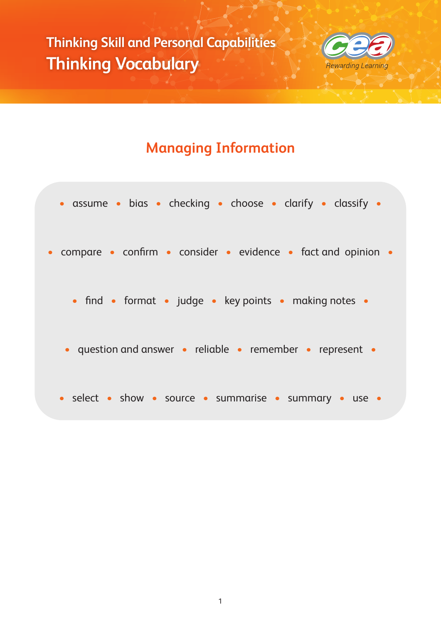

# **Managing Information**

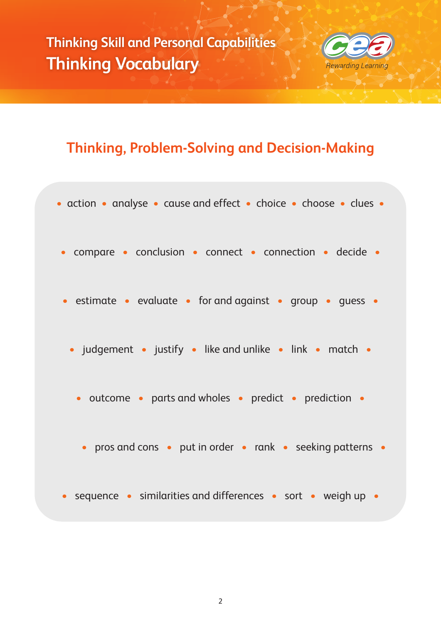

## **Thinking, Problem-Solving and Decision-Making**

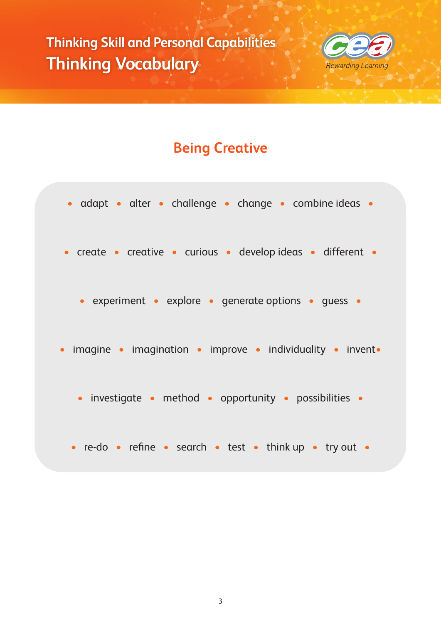

# **Being Creative**

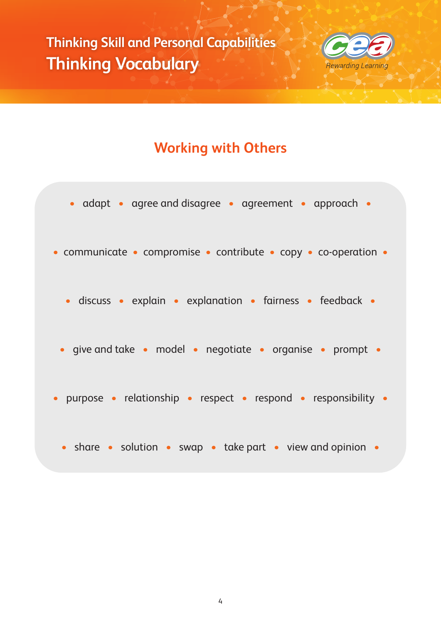

### **Working with Others**